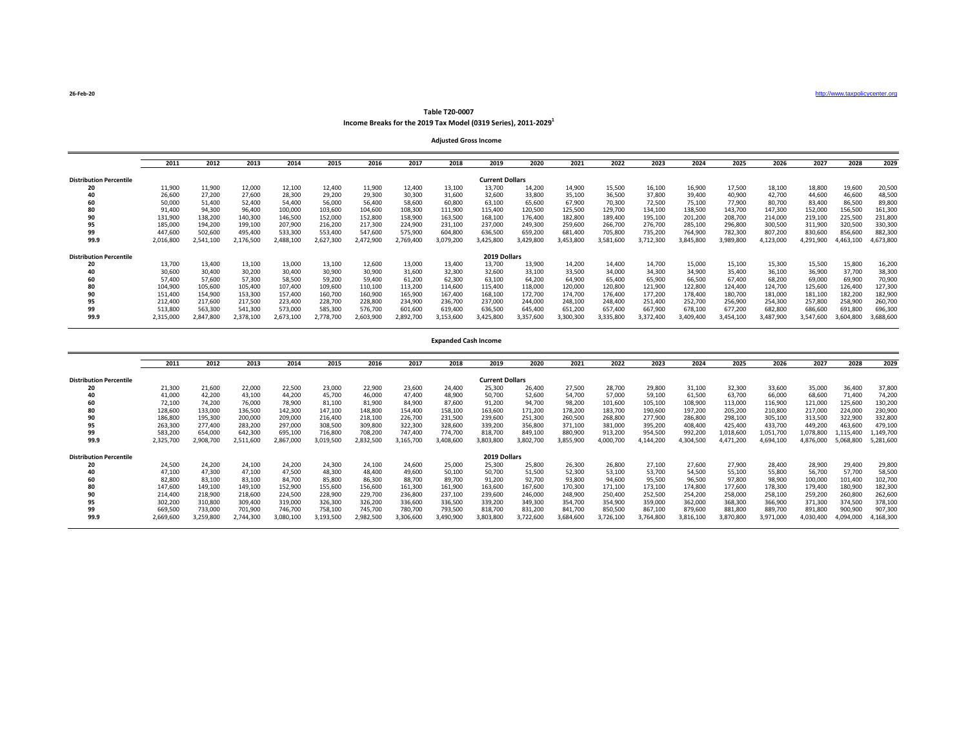**26-Feb-20** [http](http://www.taxpolicycenter.org/)://www.taxpolicycenter.org

## **Table T20-0007 Income Breaks for the 2019 Tax Model (0319 Series), 2011-20291**

**Adjusted Gross Income**

|                                | 2011      | 2012      | 2013      | 2014      | 2015      | 2016      | 2017      | 2018      | 2019                   | 2020      | 2021      | 2022      | 2023      | 2024      | 2025      | 2026      | 2027      | 2028      | 2029      |
|--------------------------------|-----------|-----------|-----------|-----------|-----------|-----------|-----------|-----------|------------------------|-----------|-----------|-----------|-----------|-----------|-----------|-----------|-----------|-----------|-----------|
| <b>Distribution Percentile</b> |           |           |           |           |           |           |           |           | <b>Current Dollars</b> |           |           |           |           |           |           |           |           |           |           |
| 20                             | 11,900    | 11,900    | 12,000    | 12,100    | 12,400    | 11,900    | 12,400    | 13,100    | 13,700                 | 14,200    | 14,900    | 15,500    | 16,100    | 16,900    | 17,500    | 18,100    | 18,800    | 19,600    | 20,500    |
| 40                             | 26,600    | 27,200    | 27,600    | 28,300    | 29,200    | 29,300    | 30,300    | 31,600    | 32,600                 | 33,800    | 35,100    | 36,500    | 37,800    | 39,400    | 40,900    | 42,700    | 44,600    | 46,600    | 48,500    |
| 60                             | 50,000    | 51,400    | 52.400    | 54,400    | 56,000    | 56,400    | 58,600    | 60,800    | 63,100                 | 65,600    | 67,900    | 70,300    | 72,500    | 75,100    | 77,900    | 80,700    | 83,400    | 86,500    | 89,800    |
| 80                             | 91,400    | 94,300    | 96,400    | 100,000   | 103,600   | 104,600   | 108,300   | 111,900   | 115,400                | 120,500   | 125,500   | 129,700   | 134,100   | 138,500   | 143,700   | 147,300   | 152,000   | 156,500   | 161,300   |
| 90                             | 131,900   | 138,200   | 140,300   | 146,500   | 152,000   | 152,800   | 158,900   | 163,500   | 168,100                | 176,400   | 182,800   | 189,400   | 195,100   | 201,200   | 208,700   | 214,000   | 219,100   | 225,500   | 231,800   |
| 95                             | 185,000   | 194,200   | 199,100   | 207,900   | 216,200   | 217,300   | 224,900   | 231,100   | 237,000                | 249,300   | 259,600   | 266,700   | 276,700   | 285,100   | 296,800   | 300,500   | 311,900   | 320,500   | 330,300   |
| 99                             | 447,600   | 502,600   | 495,400   | 533,300   | 553,400   | 547,600   | 575,900   | 604,800   | 636,500                | 659,200   | 681,400   | 705,800   | 735,200   | 764,900   | 782,300   | 807,200   | 830,600   | 856,600   | 882,300   |
| 99.9                           | 2,016,800 | 2,541,100 | 2,176,500 | 2,488,100 | 2,627,300 | 2,472,900 | 2,769,400 | 3,079,200 | 3,425,800              | 3,429,800 | 3,453,800 | 3,581,600 | 3,712,300 | 3,845,800 | 3,989,800 | 4,123,000 | 4,291,900 | 4,463,100 | 4,673,800 |
| <b>Distribution Percentile</b> |           |           |           |           |           |           |           |           | 2019 Dollars           |           |           |           |           |           |           |           |           |           |           |
| 20                             | 13,700    | 13,400    | 13,100    | 13,000    | 13,100    | 12,600    | 13,000    | 13,400    | 13,700                 | 13,900    | 14,200    | 14,400    | 14,700    | 15,000    | 15,100    | 15,300    | 15,500    | 15,800    | 16,200    |
| 40                             | 30,600    | 30,400    | 30,200    | 30,400    | 30,900    | 30,900    | 31,600    | 32,300    | 32,600                 | 33,100    | 33,500    | 34,000    | 34,300    | 34,900    | 35,400    | 36,100    | 36,900    | 37,700    | 38,300    |
| 60                             | 57.400    | 57,600    | 57,300    | 58,500    | 59,200    | 59,400    | 61,200    | 62,300    | 63,100                 | 64,200    | 64,900    | 65,400    | 65,900    | 66,500    | 67,400    | 68,200    | 69,000    | 69,900    | 70,900    |
| 80                             | 104,900   | 105,600   | 105,400   | 107,400   | 109,600   | 110,100   | 113,200   | 114,600   | 115,400                | 118,000   | 120,000   | 120,800   | 121,900   | 122,800   | 124,400   | 124,700   | 125,600   | 126,400   | 127,300   |
| 90                             | 151,400   | 154,900   | 153,300   | 157,400   | 160,700   | 160,900   | 165,900   | 167,400   | 168,100                | 172,700   | 174,700   | 176,400   | 177,200   | 178,400   | 180,700   | 181,000   | 181,100   | 182,200   | 182,900   |
| 95                             | 212,400   | 217,600   | 217,500   | 223,400   | 228,700   | 228,800   | 234,900   | 236,700   | 237,000                | 244,000   | 248,100   | 248,400   | 251,400   | 252,700   | 256,900   | 254,300   | 257,800   | 258,900   | 260,700   |
| 99                             | 513,800   | 563,300   | 541,300   | 573,000   | 585,300   | 576,700   | 601,600   | 619,400   | 636,500                | 645,400   | 651,200   | 657,400   | 667,900   | 678,100   | 677,200   | 682,800   | 686,600   | 691,800   | 696,300   |
| 99.9                           | 2,315,000 | 2,847,800 | 2,378,100 | 2,673,100 | 2,778,700 | 2,603,900 | 2,892,700 | 3,153,600 | 3,425,800              | 3,357,600 | 3,300,300 | 3,335,800 | 3,372,400 | 3,409,400 | 3.454.100 | 3.487.900 | 3.547.600 | 3.604.800 | 3,688,600 |

## **Expanded Cash Income**

|                                | 2011      | 2012                   | 2013      | 2014      | 2015      | 2016      | 2017      | 2018      | 2019         | 2020      | 2021      | 2022      | 2023      | 2024      | 2025      | 2026      | 2027      | 2028      | 2029      |
|--------------------------------|-----------|------------------------|-----------|-----------|-----------|-----------|-----------|-----------|--------------|-----------|-----------|-----------|-----------|-----------|-----------|-----------|-----------|-----------|-----------|
| <b>Distribution Percentile</b> |           | <b>Current Dollars</b> |           |           |           |           |           |           |              |           |           |           |           |           |           |           |           |           |           |
| 20                             | 21,300    | 21,600                 | 22,000    | 22,500    | 23,000    | 22,900    | 23,600    | 24,400    | 25,300       | 26,400    | 27,500    | 28,700    | 29,800    | 31,100    | 32,300    | 33,600    | 35,000    | 36,400    | 37,800    |
| 40                             | 41,000    | 42,200                 | 43,100    | 44,200    | 45,700    | 46,000    | 47.400    | 48,900    | 50,700       | 52,600    | 54,700    | 57,000    | 59,100    | 61,500    | 63,700    | 66,000    | 68,600    | 71,400    | 74,200    |
| 60                             | 72,100    | 74,200                 | 76,000    | 78,900    | 81,100    | 81,900    | 84,900    | 87,600    | 91,200       | 94,700    | 98,200    | 101,600   | 105,100   | 108,900   | 113,000   | 116,900   | 121,000   | 125,600   | 130,200   |
| 80                             | 128,600   | 133,000                | 136,500   | 142,300   | 147,100   | 148,800   | 154,400   | 158,100   | 163,600      | 171,200   | 178,200   | 183,700   | 190,600   | 197,200   | 205,200   | 210,800   | 217,000   | 224,000   | 230,900   |
| 90                             | 186,800   | 195,300                | 200,000   | 209,000   | 216,400   | 218,100   | 226,700   | 231,500   | 239,600      | 251,300   | 260,500   | 268,800   | 277,900   | 286,800   | 298,100   | 305,100   | 313,500   | 322,900   | 332,800   |
| 95                             | 263,300   | 277,400                | 283,200   | 297,000   | 308,500   | 309,800   | 322,300   | 328,600   | 339,200      | 356,800   | 371,100   | 381,000   | 395,200   | 408,400   | 425,400   | 433,700   | 449,200   | 463,600   | 479,100   |
| 99                             | 583,200   | 654,000                | 642,300   | 695,100   | 716,800   | 708,200   | 747,400   | 774,700   | 818,700      | 849,100   | 880,900   | 913,200   | 954,500   | 992,200   | 1,018,600 | 1,051,700 | 1,078,800 | l,115,400 | 1,149,700 |
| 99.9                           | 2,325,700 | 2,908,700              | 2,511,600 | 2,867,000 | 3,019,500 | 2,832,500 | 3,165,700 | 3,408,600 | 3,803,800    | 3,802,700 | 3,855,900 | 4,000,700 | 4,144,200 | 4,304,500 | 4,471,200 | 4,694,100 | 4,876,000 | 5,068,800 | 5,281,600 |
| <b>Distribution Percentile</b> |           |                        |           |           |           |           |           |           | 2019 Dollars |           |           |           |           |           |           |           |           |           |           |
| 20                             | 24,500    | 24,200                 | 24,100    | 24,200    | 24,300    | 24,100    | 24,600    | 25,000    | 25,300       | 25,800    | 26,300    | 26,800    | 27,100    | 27,600    | 27,900    | 28,400    | 28,900    | 29,400    | 29,800    |
| 40                             | 47,100    | 47,300                 | 47,100    | 47,500    | 48,300    | 48,400    | 49.600    | 50,100    | 50,700       | 51,500    | 52,300    | 53,100    | 53,700    | 54,500    | 55,100    | 55,800    | 56,700    | 57,700    | 58,500    |
| 60                             | 82,800    | 83,100                 | 83,100    | 84,700    | 85,800    | 86,300    | 88,700    | 89,700    | 91,200       | 92,700    | 93,800    | 94,600    | 95,500    | 96,500    | 97,800    | 98,900    | 100,000   | 101,400   | 102,700   |
| 80                             | 147,600   | 149,100                | 149,100   | 152,900   | 155,600   | 156,600   | 161,300   | 161,900   | 163,600      | 167,600   | 170,300   | 171,100   | 173,100   | 174,800   | 177,600   | 178,300   | 179,400   | 180,900   | 182,300   |
| 90                             | 214,400   | 218,900                | 218,600   | 224,500   | 228,900   | 229,700   | 236,800   | 237,100   | 239,600      | 246,000   | 248,900   | 250,400   | 252,500   | 254,200   | 258,000   | 258,100   | 259,200   | 260,800   | 262,600   |
| 95                             | 302,200   | 310,800                | 309,400   | 319,000   | 326,300   | 326,200   | 336,600   | 336,500   | 339,200      | 349,300   | 354,700   | 354,900   | 359,000   | 362,000   | 368,300   | 366,900   | 371,300   | 374,500   | 378,100   |
| 99                             | 669,500   | 733,000                | 701,900   | 746.700   | 758,100   | 745.700   | 780.700   | 793,500   | 818,700      | 831,200   | 841,700   | 850,500   | 867,100   | 879,600   | 881,800   | 889,700   | 891,800   | 900,900   | 907,300   |
| 99.9                           | 2,669,600 | 3,259,800              | 2,744,300 | 3,080,100 | 3,193,500 | 2,982,500 | 3,306,600 | 3,490,900 | 3,803,800    | 3,722,600 | 3.684.600 | 3,726,100 | 3,764,800 | 3,816,100 | 3,870,800 | 3,971,000 | 4,030,400 | 4,094,000 | 1,168,300 |